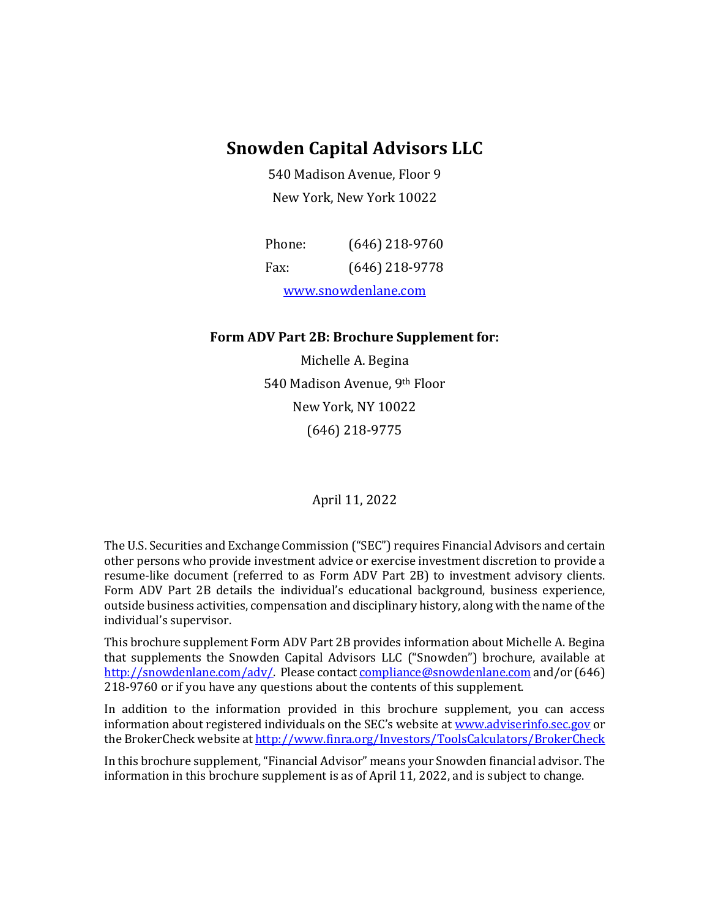### **Snowden Capital Advisors LLC**

540 Madison Avenue, Floor 9 New York, New York 10022

| Phone:              | $(646)$ 218-9760 |  |
|---------------------|------------------|--|
| Fax:                | $(646)$ 218-9778 |  |
| www.snowdenlane.com |                  |  |

#### **Form ADV Part 2B: Brochure Supplement for:**

Michelle A. Begina 540 Madison Avenue, 9th Floor New York, NY 10022 (646) 218-9775

April 11, 2022

The U.S. Securities and Exchange Commission ("SEC") requires Financial Advisors and certain other persons who provide investment advice or exercise investment discretion to provide a resume-like document (referred to as Form ADV Part 2B) to investment advisory clients. Form ADV Part 2B details the individual's educational background, business experience, outside business activities, compensation and disciplinary history, along with the name of the individual's supervisor.

This brochure supplement Form ADV Part 2B provides information about Michelle A. Begina that supplements the Snowden Capital Advisors LLC ("Snowden") brochure, available at [http://snowdenlane.com/adv/.](http://snowdenlane.com/adv/) Please contac[t compliance@snowdenlane.com](mailto:compliance@snowdenlane.com) and/or (646) 218-9760 or if you have any questions about the contents of this supplement.

In addition to the information provided in this brochure supplement, you can access information about registered individuals on the SEC's website at [www.adviserinfo.sec.gov](http://www.adviserinfo.sec.gov/) or the BrokerCheck website a[t http://www.finra.org/Investors/ToolsCalculators/BrokerCheck](http://www.finra.org/Investors/ToolsCalculators/BrokerCheck)

In this brochure supplement, "Financial Advisor" means your Snowden financial advisor. The information in this brochure supplement is as of April 11, 2022, and is subject to change.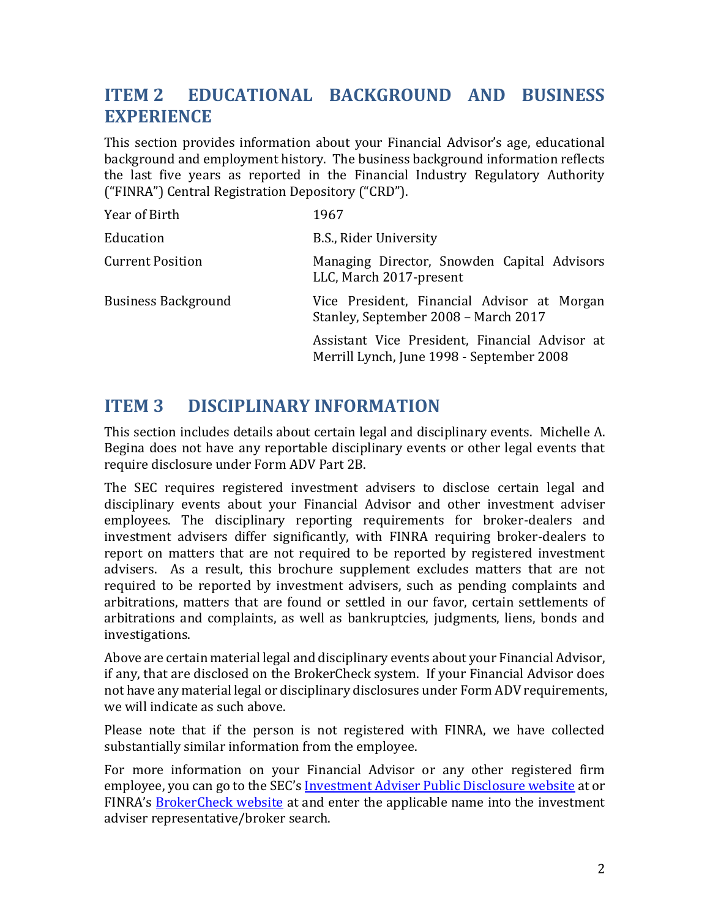## **ITEM 2 EDUCATIONAL BACKGROUND AND BUSINESS EXPERIENCE**

This section provides information about your Financial Advisor's age, educational background and employment history. The business background information reflects the last five years as reported in the Financial Industry Regulatory Authority ("FINRA") Central Registration Depository ("CRD").

| Year of Birth              | 1967                                                                                        |
|----------------------------|---------------------------------------------------------------------------------------------|
| Education                  | B.S., Rider University                                                                      |
| <b>Current Position</b>    | Managing Director, Snowden Capital Advisors<br>LLC, March 2017-present                      |
| <b>Business Background</b> | Vice President, Financial Advisor at Morgan<br>Stanley, September 2008 - March 2017         |
|                            | Assistant Vice President, Financial Advisor at<br>Merrill Lynch, June 1998 - September 2008 |

### **ITEM 3 DISCIPLINARY INFORMATION**

This section includes details about certain legal and disciplinary events. Michelle A. Begina does not have any reportable disciplinary events or other legal events that require disclosure under Form ADV Part 2B.

The SEC requires registered investment advisers to disclose certain legal and disciplinary events about your Financial Advisor and other investment adviser employees. The disciplinary reporting requirements for broker-dealers and investment advisers differ significantly, with FINRA requiring broker-dealers to report on matters that are not required to be reported by registered investment advisers. As a result, this brochure supplement excludes matters that are not required to be reported by investment advisers, such as pending complaints and arbitrations, matters that are found or settled in our favor, certain settlements of arbitrations and complaints, as well as bankruptcies, judgments, liens, bonds and investigations.

Above are certain material legal and disciplinary events about your Financial Advisor, if any, that are disclosed on the BrokerCheck system. If your Financial Advisor does not have any material legal or disciplinary disclosures under Form ADV requirements, we will indicate as such above.

Please note that if the person is not registered with FINRA, we have collected substantially similar information from the employee.

For more information on your Financial Advisor or any other registered firm employee, you can go to the SEC's [Investment Adviser Public Disclosure website](http://www.adviserinfo.sec.gov/) at or FINRA's [BrokerCheck website](http://www.finra.org/investors/ToolsCalculators/BrokerCheck/) at and enter the applicable name into the investment adviser representative/broker search.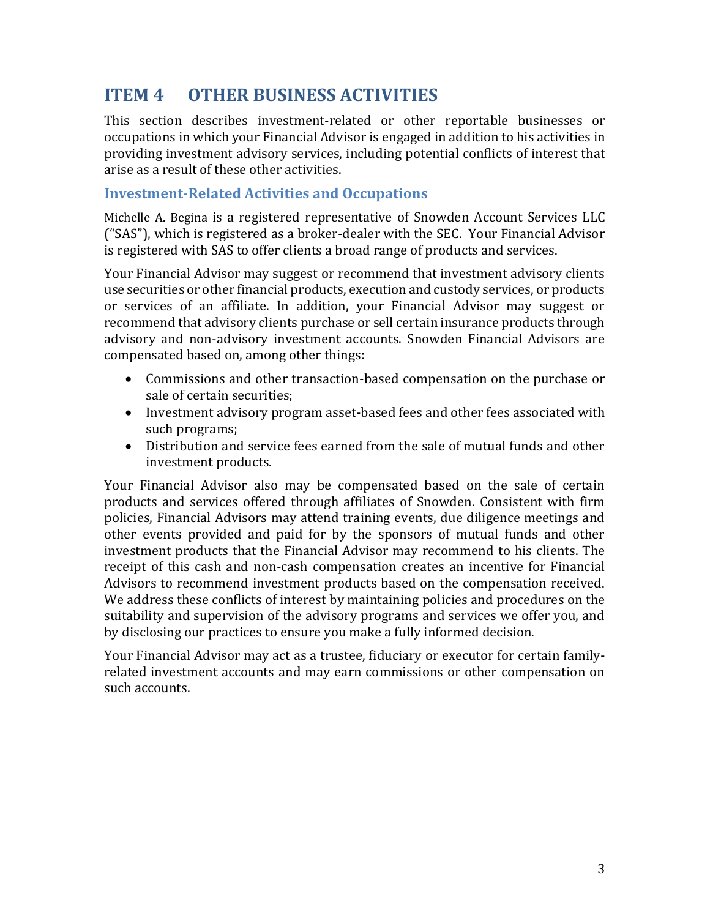### **ITEM 4 OTHER BUSINESS ACTIVITIES**

This section describes investment-related or other reportable businesses or occupations in which your Financial Advisor is engaged in addition to his activities in providing investment advisory services, including potential conflicts of interest that arise as a result of these other activities.

#### **Investment-Related Activities and Occupations**

Michelle A. Begina is a registered representative of Snowden Account Services LLC ("SAS"), which is registered as a broker-dealer with the SEC. Your Financial Advisor is registered with SAS to offer clients a broad range of products and services.

Your Financial Advisor may suggest or recommend that investment advisory clients use securities or other financial products, execution and custody services, or products or services of an affiliate. In addition, your Financial Advisor may suggest or recommend that advisory clients purchase or sell certain insurance products through advisory and non-advisory investment accounts. Snowden Financial Advisors are compensated based on, among other things:

- Commissions and other transaction-based compensation on the purchase or sale of certain securities;
- Investment advisory program asset-based fees and other fees associated with such programs;
- Distribution and service fees earned from the sale of mutual funds and other investment products.

Your Financial Advisor also may be compensated based on the sale of certain products and services offered through affiliates of Snowden. Consistent with firm policies, Financial Advisors may attend training events, due diligence meetings and other events provided and paid for by the sponsors of mutual funds and other investment products that the Financial Advisor may recommend to his clients. The receipt of this cash and non-cash compensation creates an incentive for Financial Advisors to recommend investment products based on the compensation received. We address these conflicts of interest by maintaining policies and procedures on the suitability and supervision of the advisory programs and services we offer you, and by disclosing our practices to ensure you make a fully informed decision.

Your Financial Advisor may act as a trustee, fiduciary or executor for certain familyrelated investment accounts and may earn commissions or other compensation on such accounts.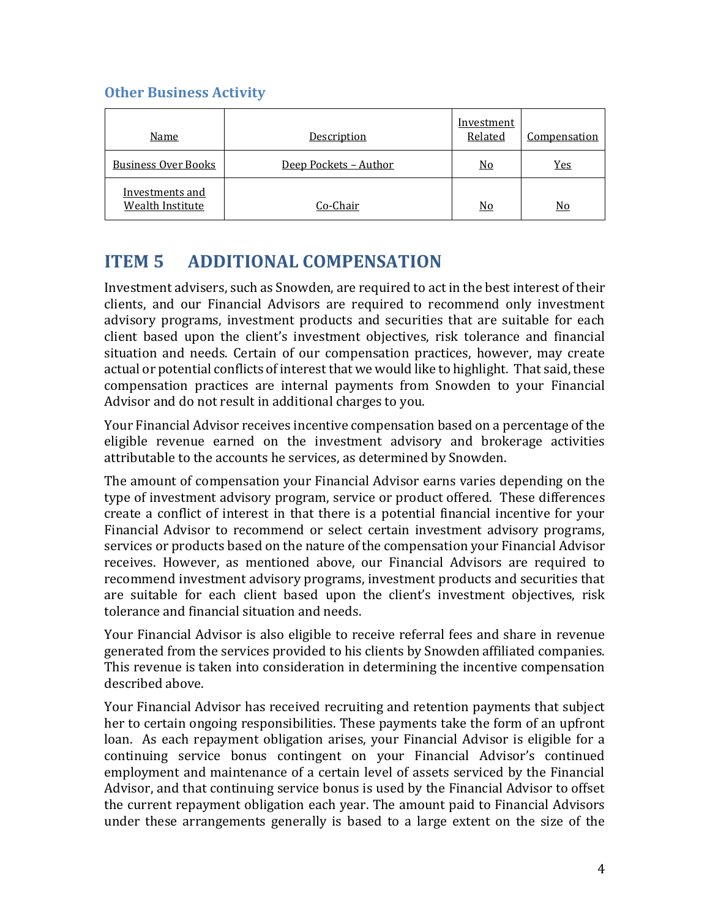### **Other Business Activity**

| Name                                       | Description           | Investment<br>Related | <b>Compensation</b> |
|--------------------------------------------|-----------------------|-----------------------|---------------------|
| <b>Business Over Books</b>                 | Deep Pockets - Author | <u>No</u>             | <u>Yes</u>          |
| Investments and<br><b>Wealth Institute</b> | Co-Chair              | <u>No</u>             | <u>No</u>           |

# **ITEM 5 ADDITIONAL COMPENSATION**

Investment advisers, such as Snowden, are required to act in the best interest of their clients, and our Financial Advisors are required to recommend only investment advisory programs, investment products and securities that are suitable for each client based upon the client's investment objectives, risk tolerance and financial situation and needs. Certain of our compensation practices, however, may create actual or potential conflicts of interest that we would like to highlight. That said, these compensation practices are internal payments from Snowden to your Financial Advisor and do not result in additional charges to you.

Your Financial Advisor receives incentive compensation based on a percentage of the eligible revenue earned on the investment advisory and brokerage activities attributable to the accounts he services, as determined by Snowden.

The amount of compensation your Financial Advisor earns varies depending on the type of investment advisory program, service or product offered. These differences create a conflict of interest in that there is a potential financial incentive for your Financial Advisor to recommend or select certain investment advisory programs, services or products based on the nature of the compensation your Financial Advisor receives. However, as mentioned above, our Financial Advisors are required to recommend investment advisory programs, investment products and securities that are suitable for each client based upon the client's investment objectives, risk tolerance and financial situation and needs.

Your Financial Advisor is also eligible to receive referral fees and share in revenue generated from the services provided to his clients by Snowden affiliated companies. This revenue is taken into consideration in determining the incentive compensation described above.

Your Financial Advisor has received recruiting and retention payments that subject her to certain ongoing responsibilities. These payments take the form of an upfront loan. As each repayment obligation arises, your Financial Advisor is eligible for a continuing service bonus contingent on your Financial Advisor's continued employment and maintenance of a certain level of assets serviced by the Financial Advisor, and that continuing service bonus is used by the Financial Advisor to offset the current repayment obligation each year. The amount paid to Financial Advisors under these arrangements generally is based to a large extent on the size of the